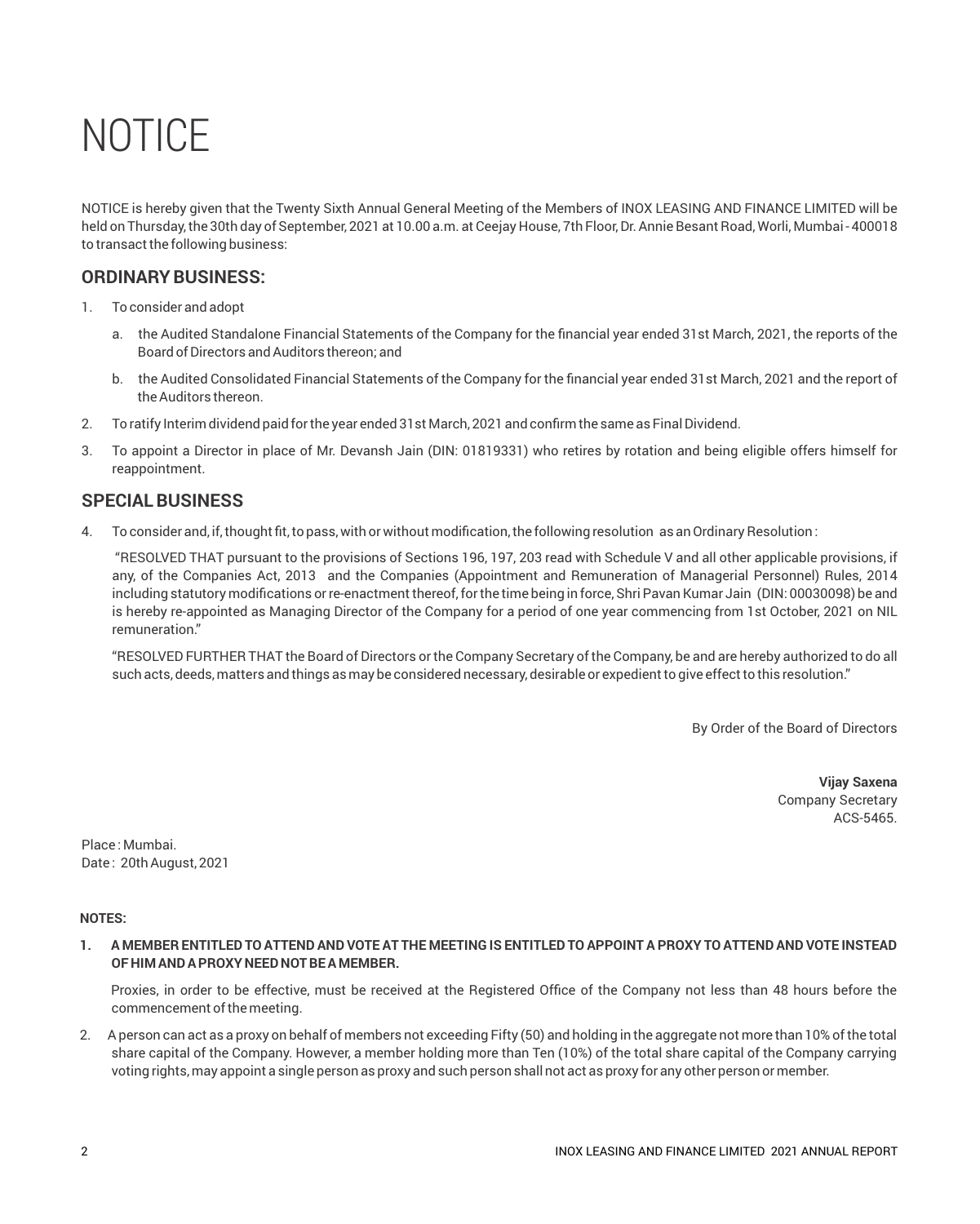NOTICE is hereby given that the Twenty Sixth Annual General Meeting of the Members of INOX LEASING AND FINANCE LIMITED will be held on Thursday, the 30th day of September, 2021 at 10.00 a.m. at Ceejay House, 7th Floor, Dr. Annie Besant Road, Worli, Mumbai - 400018 to transact the following business:

## **ORDINARYBUSINESS:**

- 1. To consider and adopt
	- a. the Audited Standalone Financial Statements of the Company for the financial year ended 31st March, 2021, the reports of the Board of Directors and Auditors thereon; and
	- b. the Audited Consolidated Financial Statements of the Company for the financial year ended 31st March, 2021 and the report of the Auditors thereon.
- 2. To ratify Interim dividend paid for the year ended 31st March, 2021 and confirm the same as Final Dividend.
- 3. To appoint a Director in place of Mr. Devansh Jain (DIN: 01819331) who retires by rotation and being eligible offers himself for reappointment.

## **SPECIAL BUSINESS**

4. To consider and, if, thought fit, to pass, with or without modification, the following resolution as an Ordinary Resolution :

"RESOLVED THAT pursuant to the provisions of Sections 196, 197, 203 read with Schedule V and all other applicable provisions, if any, of the Companies Act, 2013 and the Companies (Appointment and Remuneration of Managerial Personnel) Rules, 2014 including statutory modifications or re-enactment thereof, for the time being in force, Shri Pavan Kumar Jain (DIN: 00030098) be and is hereby re-appointed as Managing Director of the Company for a period of one year commencing from 1st October, 2021 on NIL remuneration."

"RESOLVED FURTHER THAT the Board of Directors or the Company Secretary of the Company, be and are hereby authorized to do all such acts, deeds, matters and things as may be considered necessary, desirable or expedient to give effect to this resolution."

By Order of the Board of Directors

 **Vijay Saxena** Company Secretary ACS-5465.

Place : Mumbai. Date : 20th August, 2021

## **NOTES:**

1. A MEMBER ENTITLED TO ATTEND AND VOTE AT THE MEETING IS ENTITLED TO APPOINT A PROXY TO ATTEND AND VOTE INSTEAD **OF HIM ANDA PROXY NEED NOTBEA MEMBER.** 

Proxies, in order to be effective, must be received at the Registered Office of the Company not less than 48 hours before the commencement of the meeting.

2. A person can act as a proxy on behalf of members not exceeding Fifty (50) and holding in the aggregate not more than 10% of the total share capital of the Company. However, a member holding more than Ten (10%) of the total share capital of the Company carrying voting rights, may appoint a single person as proxy and such person shall not act as proxy for any other person or member.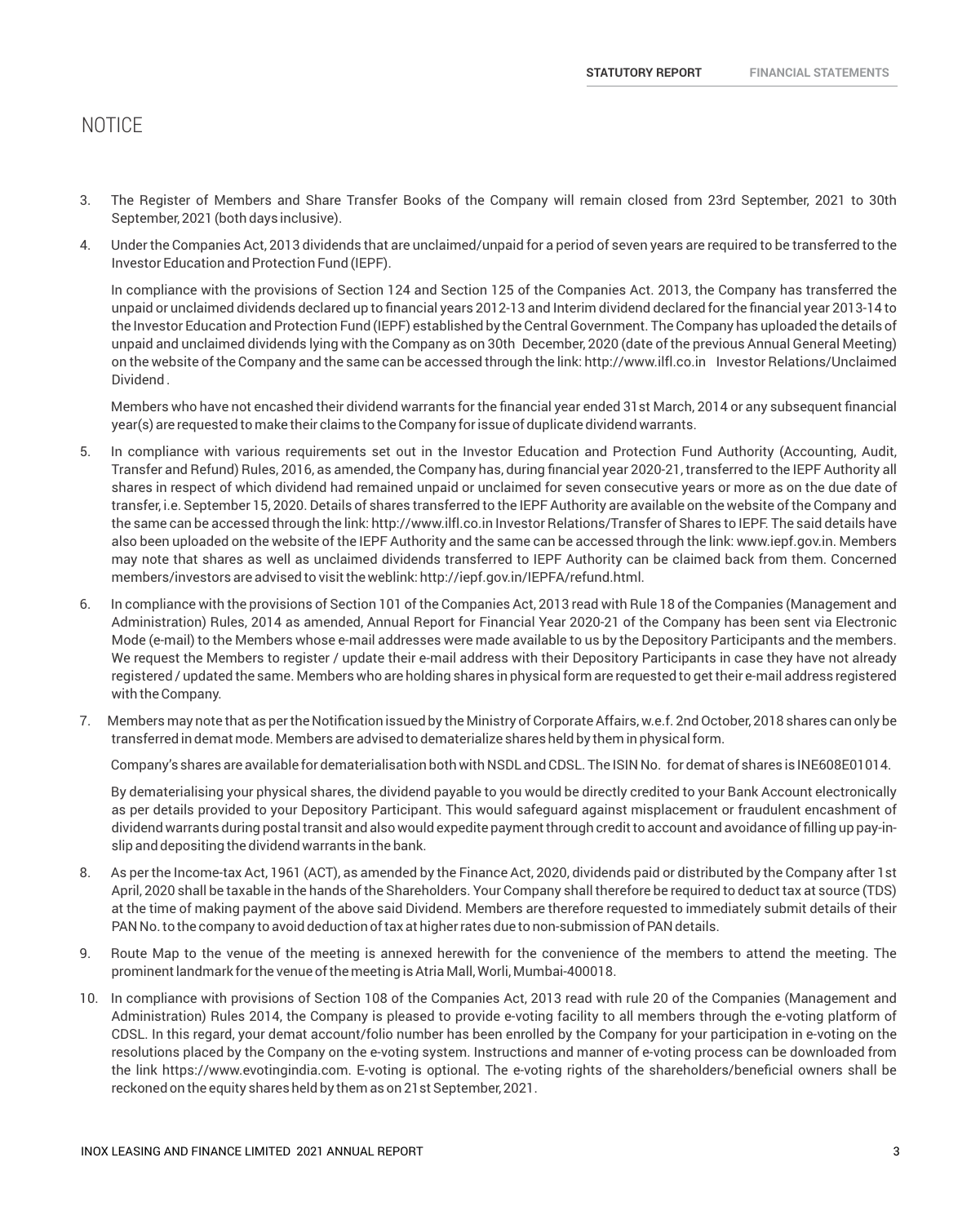- 3. The Register of Members and Share Transfer Books of the Company will remain closed from 23rd September, 2021 to 30th September, 2021 (both days inclusive).
- 4. Under the Companies Act, 2013 dividends that are unclaimed/unpaid for a period of seven years are required to be transferred to the Investor Education and Protection Fund (IEPF).

In compliance with the provisions of Section 124 and Section 125 of the Companies Act. 2013, the Company has transferred the unpaid or unclaimed dividends declared up to financial years 2012-13 and Interim dividend declared for the financial year 2013-14 to the Investor Education and Protection Fund (IEPF) established by the Central Government. The Company has uploaded the details of unpaid and unclaimed dividends lying with the Company as on 30th December, 2020 (date of the previous Annual General Meeting) on the website of the Company and the same can be accessed through the link: http://www.ilfl.co.in Investor Relations/Unclaimed Dividend .

Members who have not encashed their dividend warrants for the financial year ended 31st March, 2014 or any subsequent financial year(s) are requested to make their claims to the Company for issue of duplicate dividend warrants.

- 5. In compliance with various requirements set out in the Investor Education and Protection Fund Authority (Accounting, Audit, Transfer and Refund) Rules, 2016, as amended, the Company has, during financial year 2020-21, transferred to the IEPF Authority all shares in respect of which dividend had remained unpaid or unclaimed for seven consecutive years or more as on the due date of transfer, i.e. September 15, 2020. Details of shares transferred to the IEPF Authority are available on the website of the Company and the same can be accessed through the link: http://www.ilfl.co.in Investor Relations/Transfer of Shares to IEPF. The said details have also been uploaded on the website of the IEPF Authority and the same can be accessed through the link: www.iepf.gov.in. Members may note that shares as well as unclaimed dividends transferred to IEPF Authority can be claimed back from them. Concerned members/investors are advised to visit the weblink: http://iepf.gov.in/IEPFA/refund.html.
- 6. In compliance with the provisions of Section 101 of the Companies Act, 2013 read with Rule 18 of the Companies (Management and Administration) Rules, 2014 as amended, Annual Report for Financial Year 2020-21 of the Company has been sent via Electronic Mode (e-mail) to the Members whose e-mail addresses were made available to us by the Depository Participants and the members. We request the Members to register / update their e-mail address with their Depository Participants in case they have not already registered / updated the same. Members who are holding shares in physical form are requested to get their e-mail address registered with the Company.
- 7. Members may note that as per the Notification issued by the Ministry of Corporate Affairs, w.e.f. 2nd October, 2018 shares can only be transferred in demat mode. Members are advised to dematerialize shares held by them in physical form.

Company's shares are available for dematerialisation both with NSDL and CDSL. The ISIN No. for demat of shares is INE608E01014.

By dematerialising your physical shares, the dividend payable to you would be directly credited to your Bank Account electronically as per details provided to your Depository Participant. This would safeguard against misplacement or fraudulent encashment of dividend warrants during postal transit and also would expedite payment through credit to account and avoidance of filling up pay-inslip and depositing the dividend warrants in the bank.

- 8. As per the Income-tax Act, 1961 (ACT), as amended by the Finance Act, 2020, dividends paid or distributed by the Company after 1st April, 2020 shall be taxable in the hands of the Shareholders. Your Company shall therefore be required to deduct tax at source (TDS) at the time of making payment of the above said Dividend. Members are therefore requested to immediately submit details of their PAN No. to the company to avoid deduction of tax at higher rates due to non-submission of PAN details.
- 9. Route Map to the venue of the meeting is annexed herewith for the convenience of the members to attend the meeting. The prominent landmark for the venue of the meeting is Atria Mall, Worli, Mumbai-400018.
- 10. In compliance with provisions of Section 108 of the Companies Act, 2013 read with rule 20 of the Companies (Management and Administration) Rules 2014, the Company is pleased to provide e-voting facility to all members through the e-voting platform of CDSL. In this regard, your demat account/folio number has been enrolled by the Company for your participation in e-voting on the resolutions placed by the Company on the e-voting system. Instructions and manner of e-voting process can be downloaded from the link https://www.evotingindia.com. E-voting is optional. The e-voting rights of the shareholders/beneficial owners shall be reckoned on the equity shares held by them as on 21st September, 2021.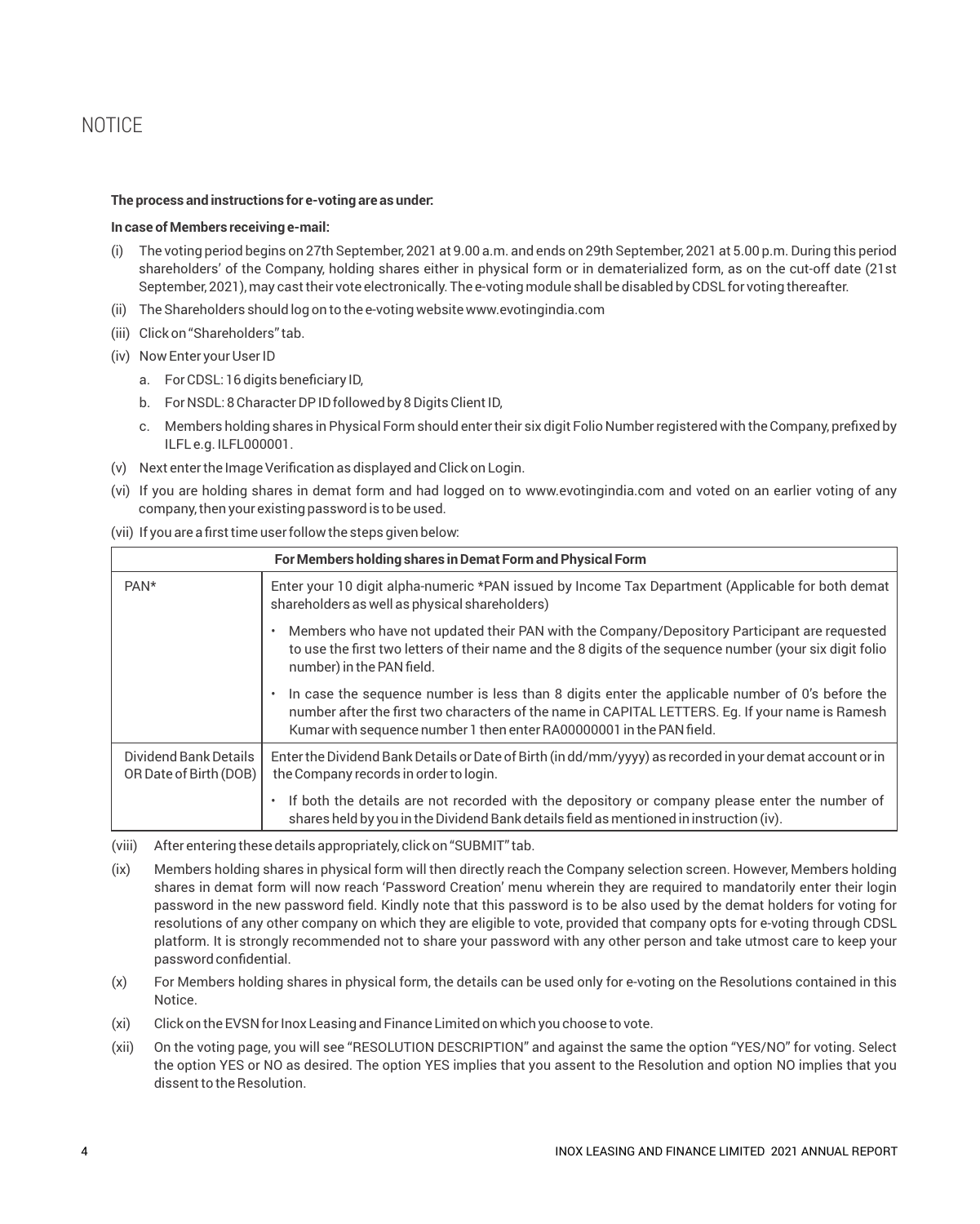#### **The process and instructions for e-voting are as under:**

#### **In case of Members receiving e-mail:**

- (i) The voting period begins on 27th September, 2021 at 9.00 a.m. and ends on 29th September, 2021 at 5.00 p.m. During this period shareholders' of the Company, holding shares either in physical form or in dematerialized form, as on the cut-off date (21st September, 2021), may cast their vote electronically. The e-voting module shall be disabled by CDSL for voting thereafter.
- (ii) The Shareholders should log on to the e-voting website www.evotingindia.com
- (iii) Click on "Shareholders" tab.
- (iv) Now Enter your User ID
	- a. For CDSL: 16 digits beneficiary ID,
	- b. For NSDL: 8 Character DPID followed by 8 Digits Client ID,
	- c. Members holding shares in Physical Form should enter their six digit Folio Number registered with the Company, prefixed by ILFL e.g. ILFL000001.
- (v) Next enter the Image Verification as displayed and Click on Login.
- (vi) If you are holding shares in demat form and had logged on to www.evotingindia.com and voted on an earlier voting of any company, then your existing password is to be used.

#### (vii) If you are a first time user follow the steps given below:

| For Members holding shares in Demat Form and Physical Form |                                                                                                                                                                                                                                                                             |
|------------------------------------------------------------|-----------------------------------------------------------------------------------------------------------------------------------------------------------------------------------------------------------------------------------------------------------------------------|
| PAN*                                                       | Enter your 10 digit alpha-numeric *PAN issued by Income Tax Department (Applicable for both demat<br>shareholders as well as physical shareholders)                                                                                                                         |
|                                                            | Members who have not updated their PAN with the Company/Depository Participant are requested<br>to use the first two letters of their name and the 8 digits of the sequence number (your six digit folio<br>number) in the PAN field.                                       |
|                                                            | In case the sequence number is less than 8 digits enter the applicable number of 0's before the<br>number after the first two characters of the name in CAPITAL LETTERS. Eg. If your name is Ramesh<br>Kumar with sequence number 1 then enter RA00000001 in the PAN field. |
| Dividend Bank Details<br>OR Date of Birth (DOB)            | Enter the Dividend Bank Details or Date of Birth (in dd/mm/yyyy) as recorded in your demat account or in<br>the Company records in order to login.                                                                                                                          |
|                                                            | If both the details are not recorded with the depository or company please enter the number of<br>$\bullet$<br>shares held by you in the Dividend Bank details field as mentioned in instruction (iv).                                                                      |

(viii) After entering these details appropriately, click on "SUBMIT" tab.

- (ix) Members holding shares in physical form will then directly reach the Company selection screen. However, Members holding shares in demat form will now reach 'Password Creation' menu wherein they are required to mandatorily enter their login password in the new password field. Kindly note that this password is to be also used by the demat holders for voting for resolutions of any other company on which they are eligible to vote, provided that company opts for e-voting through CDSL platform. It is strongly recommended not to share your password with any other person and take utmost care to keep your password confidential.
- (x) For Members holding shares in physical form, the details can be used only for e-voting on the Resolutions contained in this Notice.
- (xi) Click on the EVSN for Inox Leasing and Finance Limited on which you choose to vote.
- (xii) On the voting page, you will see "RESOLUTION DESCRIPTION" and against the same the option "YES/NO" for voting. Select the option YES or NO as desired. The option YES implies that you assent to the Resolution and option NO implies that you dissent to the Resolution.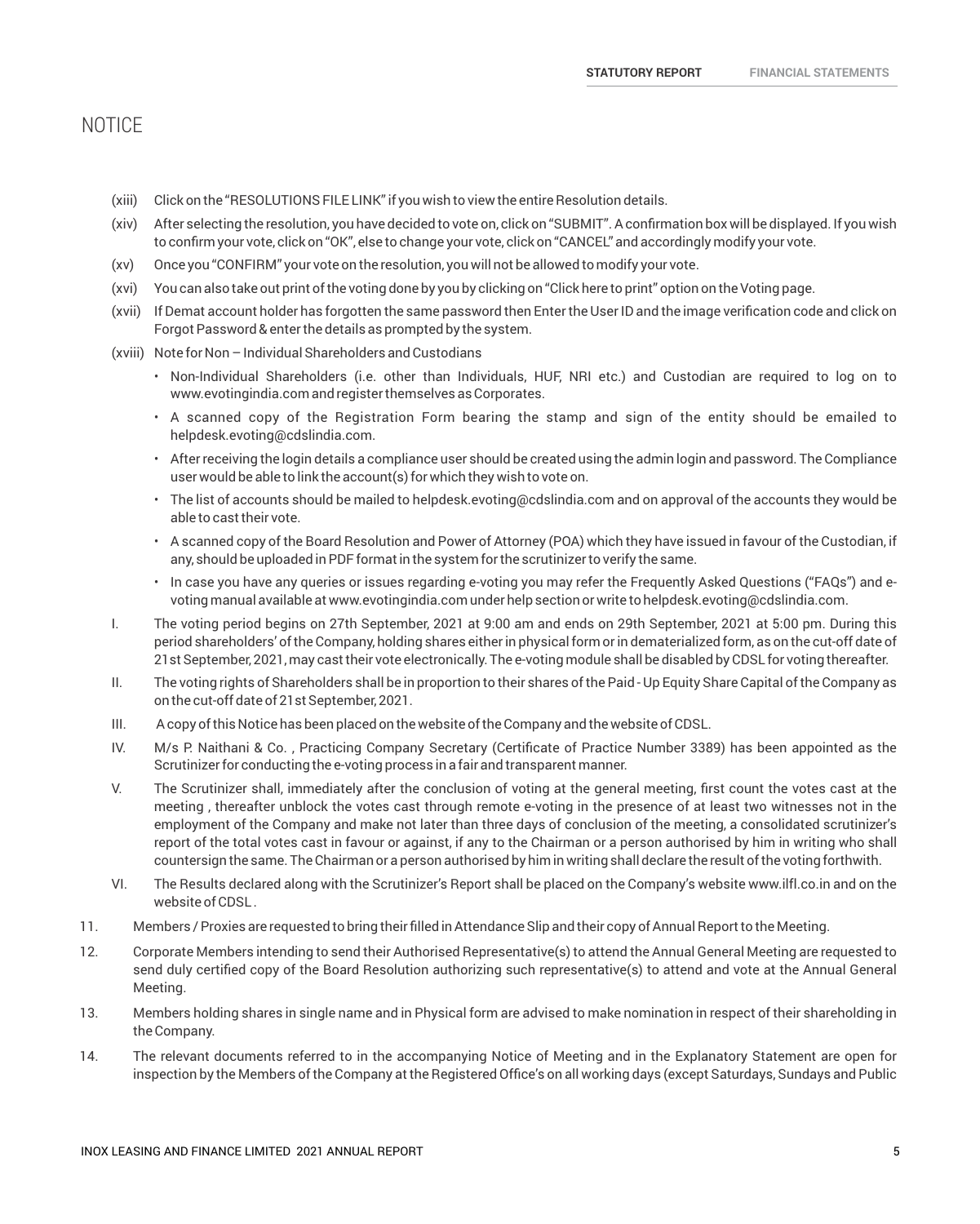- (xiii) Click on the "RESOLUTIONSFILE LINK" if you wish to view the entire Resolution details.
- (xiv) After selecting the resolution, you have decided to vote on, click on "SUBMIT". A confirmation box will be displayed. If you wish to confirm your vote, click on "OK", else to change your vote, click on "CANCEL" and accordingly modify your vote.
- (xv) Once you "CONFIRM" your vote on the resolution, you will not be allowed to modify your vote.
- (xvi) You can also take out print of the voting done by you by clicking on "Click here to print" option on the Voting page.
- (xvii) If Demat account holder has forgotten the same password then Enter the User ID and the image verification code and click on Forgot Password & enter the details as prompted by the system.
- (xviii) Note for Non Individual Shareholders and Custodians
	- Non-Individual Shareholders (i.e. other than Individuals, HUF, NRI etc.) and Custodian are required to log on to www.evotingindia.com and register themselves as Corporates.
	- A scanned copy of the Registration Form bearing the stamp and sign of the entity should be emailed to helpdesk.evoting@cdslindia.com.
	- After receiving the login details a compliance user should be created using the admin login and password. The Compliance user would be able to link the account(s) for which they wish to vote on.
	- The list of accounts should be mailed to helpdesk.evoting@cdslindia.com and on approval of the accounts they would be able to cast their vote.
	- A scanned copy of the Board Resolution and Power of Attorney (POA) which they have issued in favour of the Custodian, if any, should be uploaded in PDF format in the system for the scrutinizer to verify the same.
	- In case you have any queries or issues regarding e-voting you may refer the Frequently Asked Questions ("FAQs") and evoting manual available at www.evotingindia.com under help section or write to helpdesk.evoting@cdslindia.com.
- I. The voting period begins on 27th September, 2021 at 9:00 am and ends on 29th September, 2021 at 5:00 pm. During this period shareholders' of the Company, holding shares either in physical form or in dematerialized form, as on the cut-off date of 21st September, 2021, may cast their vote electronically. The e-voting module shall be disabled by CDSL for voting thereafter.
- II. The voting rights of Shareholders shall be in proportion to their shares of the Paid Up Equity Share Capital of the Company as on the cut-off date of 21st September, 2021.
- III. A copy of this Notice has been placed on the website of the Company and the website of CDSL.
- IV. M/s P. Naithani & Co. , Practicing Company Secretary (Certificate of Practice Number 3389) has been appointed as the Scrutinizer for conducting the e-voting process in a fair and transparent manner.
- V. The Scrutinizer shall, immediately after the conclusion of voting at the general meeting, first count the votes cast at the meeting , thereafter unblock the votes cast through remote e-voting in the presence of at least two witnesses not in the employment of the Company and make not later than three days of conclusion of the meeting, a consolidated scrutinizer's report of the total votes cast in favour or against, if any to the Chairman or a person authorised by him in writing who shall countersign the same. The Chairman or a person authorised by him in writing shall declare the result of the voting forthwith.
- VI. The Results declared along with the Scrutinizer's Report shall be placed on the Company's website www.ilfl.co.in and on the website of CDSL .
- 11. Members / Proxies are requested to bring their filled in Attendance Slip and their copy of Annual Report to the Meeting.
- 12. Corporate Members intending to send their Authorised Representative(s) to attend the Annual General Meeting are requested to send duly certified copy of the Board Resolution authorizing such representative(s) to attend and vote at the Annual General Meeting.
- 13. Members holding shares in single name and in Physical form are advised to make nomination in respect of their shareholding in the Company.
- 14. The relevant documents referred to in the accompanying Notice of Meeting and in the Explanatory Statement are open for inspection by the Members of the Company at the Registered Office's on all working days (except Saturdays, Sundays and Public